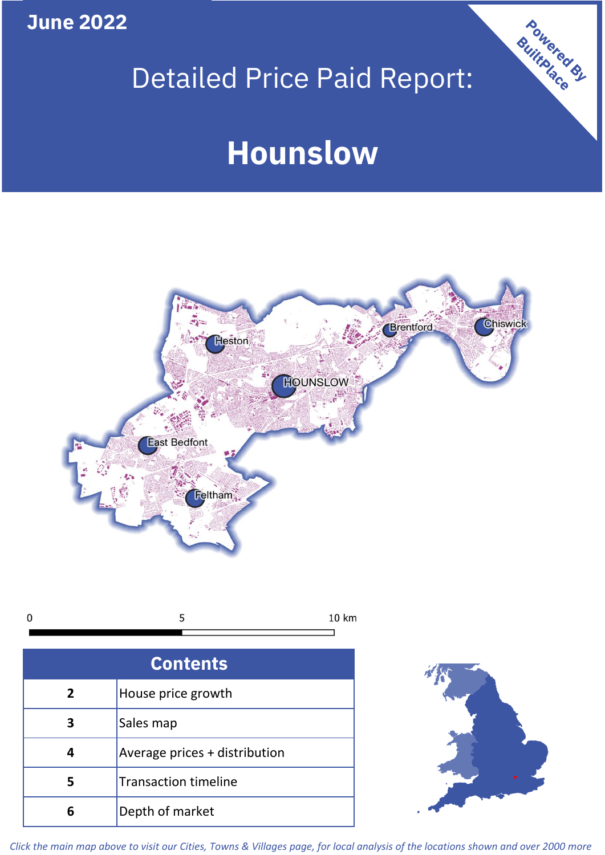**June 2022**

# Detailed Price Paid Report:

# **Hounslow**



 $\mathbf 0$ 5 10 km

| <b>Contents</b> |                               |  |  |
|-----------------|-------------------------------|--|--|
| $\overline{2}$  | House price growth            |  |  |
|                 | Sales map                     |  |  |
|                 | Average prices + distribution |  |  |
| 5               | <b>Transaction timeline</b>   |  |  |
|                 | Depth of market               |  |  |



Powered By

*Click the main map above to visit our Cities, Towns & Villages page, for local analysis of the locations shown and over 2000 more*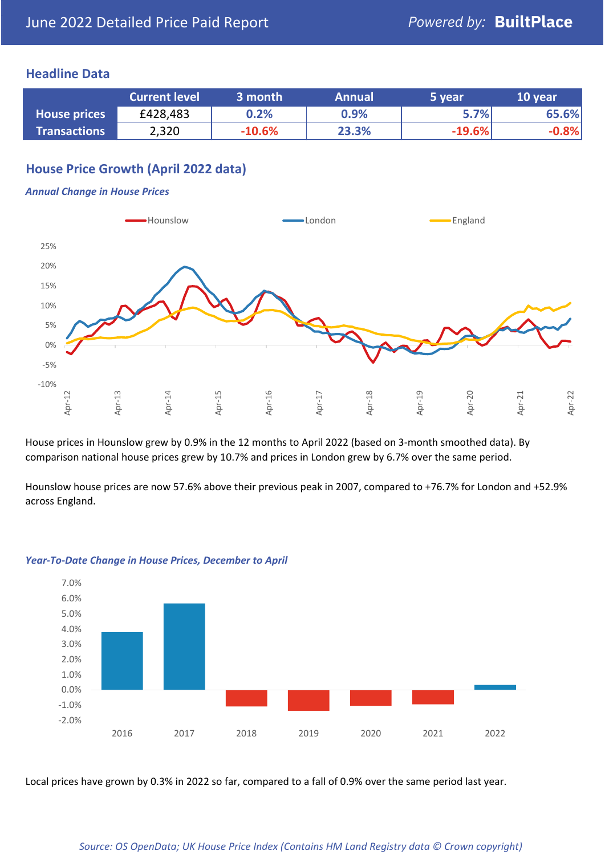## **Headline Data**

|                     | <b>Current level</b> | 3 month  | <b>Annual</b> | 5 year   | 10 year |
|---------------------|----------------------|----------|---------------|----------|---------|
| <b>House prices</b> | £428,483             | 0.2%     | 0.9%          | 5.7%     | 65.6%   |
| <b>Transactions</b> | 2,320                | $-10.6%$ | 23.3%         | $-19.6%$ | .8%     |

# **House Price Growth (April 2022 data)**

#### *Annual Change in House Prices*



House prices in Hounslow grew by 0.9% in the 12 months to April 2022 (based on 3-month smoothed data). By comparison national house prices grew by 10.7% and prices in London grew by 6.7% over the same period.

Hounslow house prices are now 57.6% above their previous peak in 2007, compared to +76.7% for London and +52.9% across England.



#### *Year-To-Date Change in House Prices, December to April*

Local prices have grown by 0.3% in 2022 so far, compared to a fall of 0.9% over the same period last year.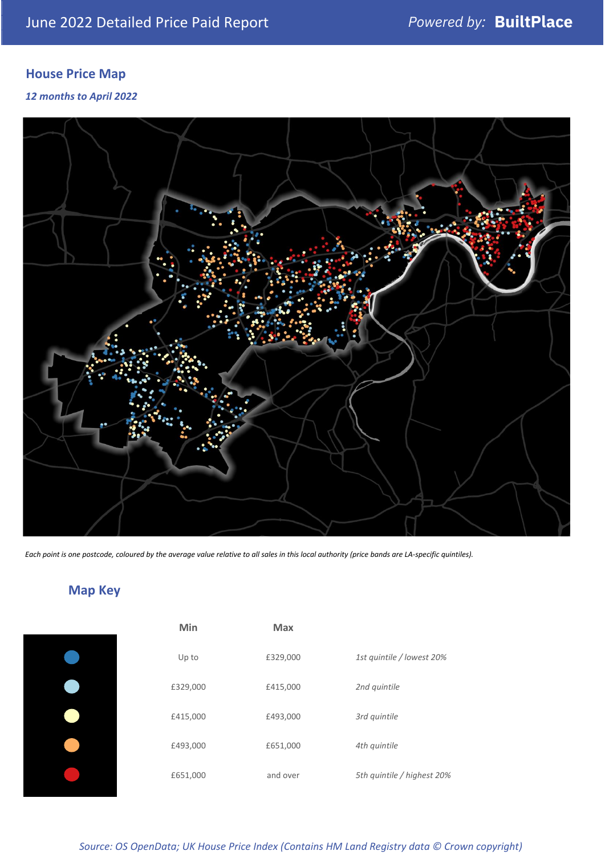# **House Price Map**

### *12 months to April 2022*



*Each point is one postcode, coloured by the average value relative to all sales in this local authority (price bands are LA-specific quintiles).*

**Map Key**

| Min      | <b>Max</b> |                            |
|----------|------------|----------------------------|
| Up to    | £329,000   | 1st quintile / lowest 20%  |
| £329,000 | £415,000   | 2nd quintile               |
| £415,000 | £493,000   | 3rd quintile               |
| £493,000 | £651,000   | 4th quintile               |
| £651,000 | and over   | 5th quintile / highest 20% |

#### *Source: OS OpenData; UK House Price Index (Contains HM Land Registry data © Crown copyright)*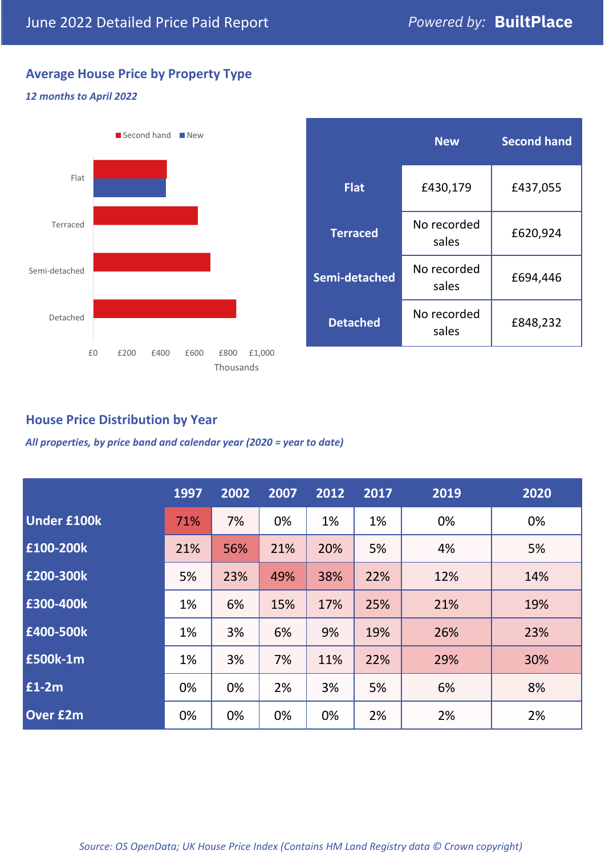# **Average House Price by Property Type**

### *12 months to April 2022*



|                 | <b>New</b>           | <b>Second hand</b> |  |
|-----------------|----------------------|--------------------|--|
| <b>Flat</b>     | £430,179             | £437,055           |  |
| <b>Terraced</b> | No recorded<br>sales | £620,924           |  |
| Semi-detached   | No recorded<br>sales | £694,446           |  |
| <b>Detached</b> | No recorded<br>sales | £848,232           |  |

# **House Price Distribution by Year**

*All properties, by price band and calendar year (2020 = year to date)*

|                    | 1997 | 2002 | 2007 | 2012 | 2017 | 2019 | 2020 |
|--------------------|------|------|------|------|------|------|------|
| <b>Under £100k</b> | 71%  | 7%   | 0%   | 1%   | 1%   | 0%   | 0%   |
| £100-200k          | 21%  | 56%  | 21%  | 20%  | 5%   | 4%   | 5%   |
| E200-300k          | 5%   | 23%  | 49%  | 38%  | 22%  | 12%  | 14%  |
| £300-400k          | 1%   | 6%   | 15%  | 17%  | 25%  | 21%  | 19%  |
| £400-500k          | 1%   | 3%   | 6%   | 9%   | 19%  | 26%  | 23%  |
| £500k-1m           | 1%   | 3%   | 7%   | 11%  | 22%  | 29%  | 30%  |
| £1-2m              | 0%   | 0%   | 2%   | 3%   | 5%   | 6%   | 8%   |
| <b>Over £2m</b>    | 0%   | 0%   | 0%   | 0%   | 2%   | 2%   | 2%   |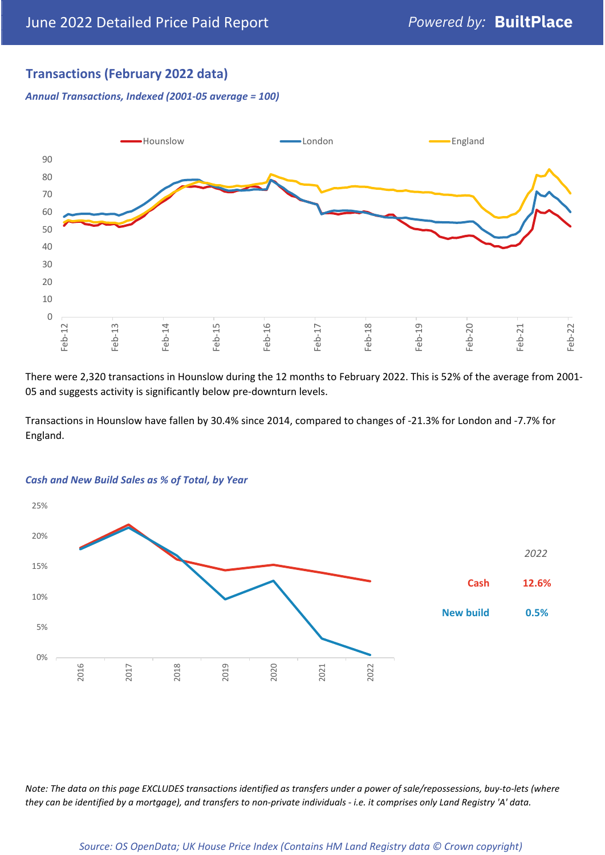# **Transactions (February 2022 data)**

*Annual Transactions, Indexed (2001-05 average = 100)*



There were 2,320 transactions in Hounslow during the 12 months to February 2022. This is 52% of the average from 2001- 05 and suggests activity is significantly below pre-downturn levels.

Transactions in Hounslow have fallen by 30.4% since 2014, compared to changes of -21.3% for London and -7.7% for England.



#### *Cash and New Build Sales as % of Total, by Year*

*Note: The data on this page EXCLUDES transactions identified as transfers under a power of sale/repossessions, buy-to-lets (where they can be identified by a mortgage), and transfers to non-private individuals - i.e. it comprises only Land Registry 'A' data.*